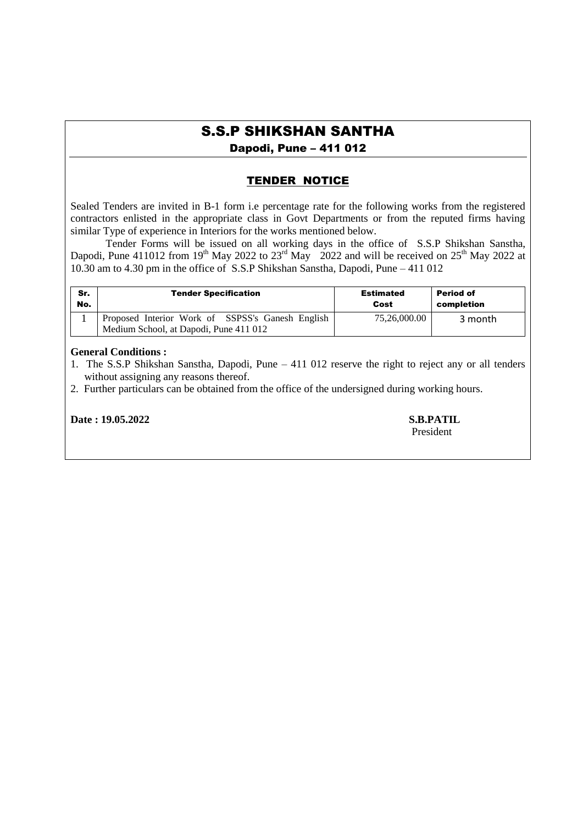# S.S.P SHIKSHAN SANTHA

Dapodi, Pune – 411 012

## TENDER NOTICE

Sealed Tenders are invited in B-1 form i.e percentage rate for the following works from the registered contractors enlisted in the appropriate class in Govt Departments or from the reputed firms having similar Type of experience in Interiors for the works mentioned below.

Tender Forms will be issued on all working days in the office of S.S.P Shikshan Sanstha, Dapodi, Pune 411012 from 19<sup>th</sup> May 2022 to 23<sup>rd</sup> May 2022 and will be received on 25<sup>th</sup> May 2022 at 10.30 am to 4.30 pm in the office of S.S.P Shikshan Sanstha, Dapodi, Pune – 411 012

| Sr. | <b>Tender Specification</b>                                                                | <b>Estimated</b> | <b>Period of</b> |
|-----|--------------------------------------------------------------------------------------------|------------------|------------------|
| No. |                                                                                            | Cost             | completion       |
|     | Proposed Interior Work of SSPSS's Ganesh English<br>Medium School, at Dapodi, Pune 411 012 | 75,26,000.00     | 3 month          |

### **General Conditions :**

- 1. The S.S.P Shikshan Sanstha, Dapodi, Pune 411 012 reserve the right to reject any or all tenders without assigning any reasons thereof.
- 2. Further particulars can be obtained from the office of the undersigned during working hours.

**Date : 19.05.2022 S.B.PATIL**

President